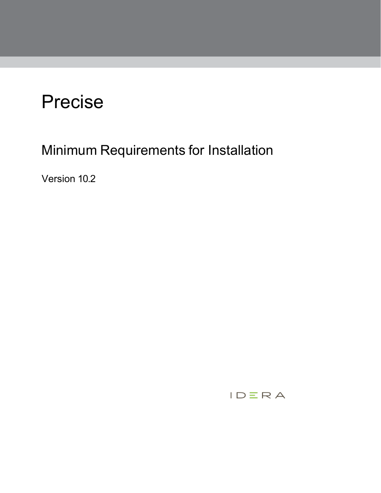# Precise

Minimum Requirements for Installation

Version 10.2

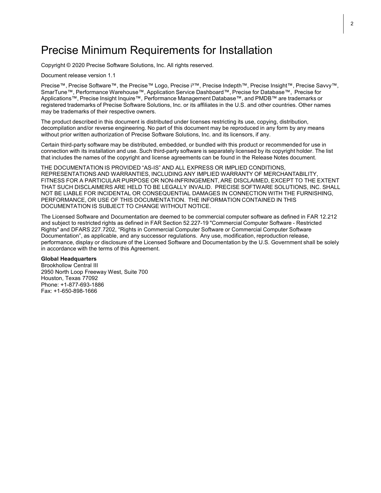### Precise Minimum Requirements for Installation

Copyright © 2020 Precise Software Solutions, Inc. All rights reserved.

Document release version 1.1

Precise™, Precise Software™, the Precise™ Logo, Precise i³™, Precise Indepth™, Precise Insight™, Precise Savvy™, SmarTune™, Performance Warehouse™, Application Service Dashboard™, Precise for Database™, Precise for Applications™, Precise Insight Inquire™, Performance Management Database™, and PMDB™ are trademarks or registered trademarks of Precise Software Solutions, Inc. or its affiliates in the U.S. and other countries. Other names may be trademarks of their respective owners.

The product described in this document is distributed under licenses restricting its use, copying, distribution, decompilation and/or reverse engineering. No part of this document may be reproduced in any form by any means without prior written authorization of Precise Software Solutions, Inc. and its licensors, if any.

Certain third-party software may be distributed, embedded, or bundled with this product or recommended for use in connection with its installation and use. Such third-party software is separately licensed by its copyright holder. The list that includes the names of the copyright and license agreements can be found in the Release Notes document.

THE DOCUMENTATION IS PROVIDED "AS-IS" AND ALL EXPRESS OR IMPLIED CONDITIONS, REPRESENTATIONS AND WARRANTIES, INCLUDING ANY IMPLIED WARRANTY OF MERCHANTABILITY, FITNESS FOR A PARTICULAR PURPOSE OR NON-INFRINGEMENT, ARE DISCLAIMED, EXCEPT TO THE EXTENT THAT SUCH DISCLAIMERS ARE HELD TO BE LEGALLY INVALID. PRECISE SOFTWARE SOLUTIONS, INC. SHALL NOT BE LIABLE FOR INCIDENTAL OR CONSEQUENTIAL DAMAGES IN CONNECTION WITH THE FURNISHING, PERFORMANCE, OR USE OF THIS DOCUMENTATION. THE INFORMATION CONTAINED IN THIS DOCUMENTATION IS SUBJECT TO CHANGE WITHOUT NOTICE.

The Licensed Software and Documentation are deemed to be commercial computer software as defined in FAR 12.212 and subject to restricted rights as defined in FAR Section 52.227-19 "Commercial Computer Software - Restricted Rights" and DFARS 227.7202, "Rights in Commercial Computer Software or Commercial Computer Software Documentation", as applicable, and any successor regulations. Any use, modification, reproduction release, performance, display or disclosure of the Licensed Software and Documentation by the U.S. Government shall be solely in accordance with the terms of this Agreement.

#### **Global Headquarters**

Brookhollow Central III 2950 North Loop Freeway West, Suite 700 Houston, Texas 77092 Phone: +1-877-693-1886 Fax: +1-650-898-1666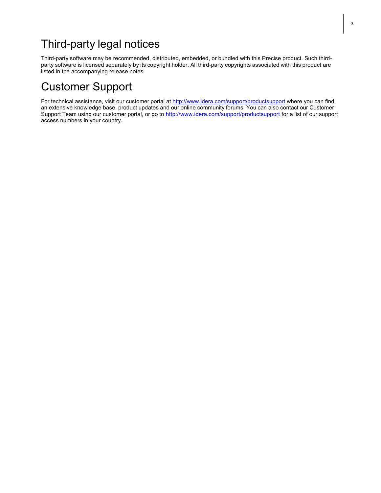# Third-party legal notices

Third-party software may be recommended, distributed, embedded, or bundled with this Precise product. Such thirdparty software is licensed separately by its copyright holder. All third-party copyrights associated with this product are listed in the accompanying release notes.

## Customer Support

For technical assistance, visit our customer portal at<http://www.idera.com/support/productsupport> where you can find an extensive knowledge base, product updates and our online community forums. You can also contact our Customer Support Team using our customer portal, or go to <http://www.idera.com/support/productsupport> for a list of our support access numbers in your country.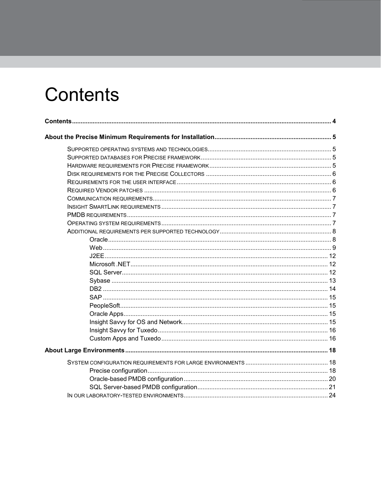# <span id="page-3-0"></span>**Contents**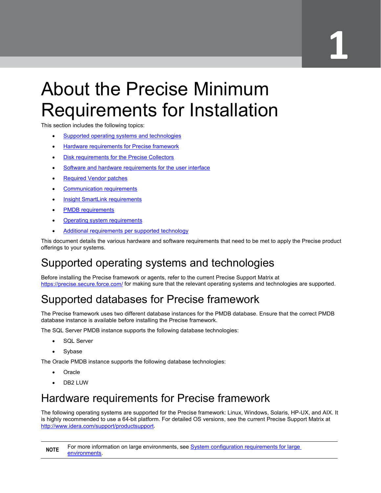# **Disk requirements for the Precise Collectors 1**

# <span id="page-4-0"></span>About the Precise Minimum Requirements for Installation

This section includes the following topics:

- **[Supported operating systems and technologies](#page-4-1)**
- [Hardware requirements](#page-4-3) for Precise framework
- Disk requirements [for the Precise Collectors](#page-5-3)
- [Software and hardware requirements for](#page-5-1) the user interface
- **[Required Vendor patches](#page-5-2)**
- **Communication requirements**
- [Insight SmartLink requirements](#page-6-1)
- PMDB [requirements](#page-6-2)
- Operating system [requirements](#page-6-3)
- Additional requirements [per supported technology](#page-7-0)

This document details the various hardware and software requirements that need to be met to apply the Precise product offerings to your systems.

# <span id="page-4-1"></span>Supported operating systems and technologies

Before installing the Precise framework or agents, refer to the current Precise Support Matrix at <https://precise.secure.force.com/> for making sure that the relevant operating systems and technologies are supported.

# <span id="page-4-2"></span>Supported databases for Precise framework

The Precise framework uses two different database instances for the PMDB database. Ensure that the correct PMDB database instance is available before installing the Precise framework.

The SQL Server PMDB instance supports the following database technologies:

- SQL Server
- Sybase

The Oracle PMDB instance supports the following database technologies:

- Oracle
- DB2 LUW

## <span id="page-4-3"></span>Hardware requirements for Precise framework

The following operating systems are supported for the Precise framework: Linux, Windows, Solaris, HP-UX, and AIX. It is highly recommended to use a 64-bit platform. For detailed OS versions, see the current Precise Support Matrix at [http://www.idera.com/support/productsupport.](http://www.idera.com/support/productsupport)

**NOTE** For more information on large environments, see **System configuration [requirements](#page-17-1) for large** [environments.](#page-17-1)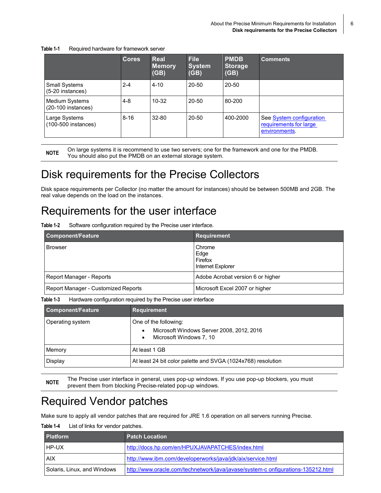| Table 1-1 | Required hardware for framework server |
|-----------|----------------------------------------|
|-----------|----------------------------------------|

|                                          | <b>Cores</b> | Real<br><b>Memory</b><br>(GB) | <b>File</b><br><b>System</b><br>(GB) | <b>PMDB</b><br><b>Storage</b><br>(GB) | <b>Comments</b>                                                     |
|------------------------------------------|--------------|-------------------------------|--------------------------------------|---------------------------------------|---------------------------------------------------------------------|
| <b>Small Systems</b><br>(5-20 instances) | $2 - 4$      | $4 - 10$                      | $20 - 50$                            | $20 - 50$                             |                                                                     |
| Medium Systems<br>$(20-100$ instances)   | $4 - 8$      | $10 - 32$                     | $20 - 50$                            | 80-200                                |                                                                     |
| Large Systems<br>(100-500 instances)     | $8 - 16$     | $32 - 80$                     | $20 - 50$                            | 400-2000                              | See System configuration<br>requirements for large<br>environments. |

**NOTE** On large systems it is recommend to use two servers; one for the framework and one for the PMDB. You should also put the PMDB on an external storage system.

# <span id="page-5-3"></span><span id="page-5-0"></span>Disk requirements for the Precise Collectors

Disk space requirements per Collector (no matter the amount for instances) should be between 500MB and 2GB. The real value depends on the load on the instances.

## <span id="page-5-1"></span>Requirements for the user interface

**Table 1-2** Software configuration required by the Precise user interface.

| <b>Component/Feature</b>            | Requirement                                    |
|-------------------------------------|------------------------------------------------|
| <b>Browser</b>                      | Chrome<br>Edge<br>Firefox<br>Internet Explorer |
| Report Manager - Reports            | Adobe Acrobat version 6 or higher              |
| Report Manager - Customized Reports | Microsoft Excel 2007 or higher                 |

**Table 1-3** Hardware configuration required by the Precise user interface

| <b>Component/Feature</b> | <b>Requirement</b>                                                                                         |
|--------------------------|------------------------------------------------------------------------------------------------------------|
| Operating system         | One of the following:<br>Microsoft Windows Server 2008, 2012, 2016<br>$\bullet$<br>Microsoft Windows 7, 10 |
| Memory                   | At least 1 GB                                                                                              |
| Display                  | At least 24 bit color palette and SVGA (1024x768) resolution                                               |

**NOTE** The Precise user interface in general, uses pop-up windows. If you use pop-up blockers, you must prevent them from blocking Precise-related pop-up windows.

## <span id="page-5-2"></span>Required Vendor patches

Make sure to apply all vendor patches that are required for JRE 1.6 operation on all servers running Precise.

**Table 1-4** List of links for vendor patches.

| <b>Platform</b>             | <b>Patch Location</b>                                                            |
|-----------------------------|----------------------------------------------------------------------------------|
| HP-UX                       | http://docs.hp.com/en/HPUXJAVAPATCHES/index.html                                 |
| AIX                         | http://www.ibm.com/developerworks/java/jdk/aix/service.html                      |
| Solaris, Linux, and Windows | http://www.oracle.com/technetwork/java/javase/system-c onfigurations-135212.html |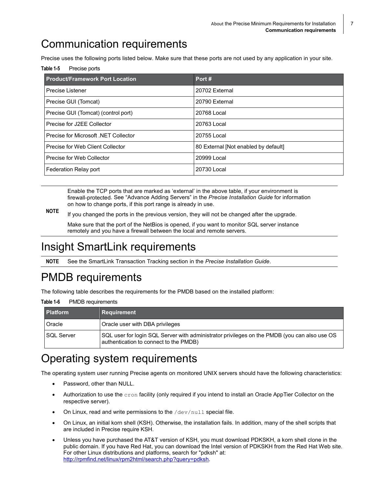# <span id="page-6-0"></span>Communication requirements

Precise uses the following ports listed below. Make sure that these ports are not used by any application in your site.

Table 1-5 Precise ports

| <b>Product/Framework Port Location</b> | Port#                                |
|----------------------------------------|--------------------------------------|
| Precise Listener                       | 20702 External                       |
| Precise GUI (Tomcat)                   | 20790 External                       |
| Precise GUI (Tomcat) (control port)    | 20768 Local                          |
| Precise for J2EE Collector             | 20763 Local                          |
| Precise for Microsoft .NET Collector   | 20755 Local                          |
| Precise for Web Client Collector       | 80 External [Not enabled by default] |
| Precise for Web Collector              | 20999 Local                          |
| Federation Relay port                  | 20730 Local                          |

Enable the TCP ports that are marked as 'external' in the above table, if your environment is firewall-protected. See "Advance Adding Servers" in the *Precise Installation Guide* for information on how to change ports, if this port range is already in use.

**NOTE** If you changed the ports in the previous version, they will not be changed after the upgrade.

Make sure that the port of the NetBios is opened, if you want to monitor SQL server instance remotely and you have a firewall between the local and remote servers.

# <span id="page-6-1"></span>Insight SmartLink requirements

**NOTE** See the SmartLink Transaction Tracking section in the *Precise Installation Guide*.

# <span id="page-6-2"></span>PMDB requirements

The following table describes the requirements for the PMDB based on the installed platform:

| <b>Platform</b>   | Requirement                                                                                                                            |
|-------------------|----------------------------------------------------------------------------------------------------------------------------------------|
| Oracle            | Oracle user with DBA privileges                                                                                                        |
| <b>SQL Server</b> | SQL user for login SQL Server with administrator privileges on the PMDB (you can also use OS<br>authentication to connect to the PMDB) |

#### **Table 1-6** PMDB requirements

# <span id="page-6-3"></span>Operating system requirements

The operating system user running Precise agents on monitored UNIX servers should have the following characteristics:

- Password, other than NULL.
- Authorization to use the cron facility (only required if you intend to install an Oracle AppTier Collector on the respective server).
- On Linux, read and write permissions to the  $/$ dev $/$ null special file.
- On Linux, an initial korn shell (KSH). Otherwise, the installation fails. In addition, many of the shell scripts that are included in Precise require KSH.
- Unless you have purchased the AT&T version of KSH, you must download PDKSKH, a korn shell clone in the public domain. If you have Red Hat, you can download the Intel version of PDKSKH from the Red Hat Web site. For other Linux distributions and platforms, search for "pdksh" at: [http://rpmfind.net/linux/rpm2html/search.php?query=pdksh.](http://rpmfind.net/linux/rpm2html/search.php?query=pdksh)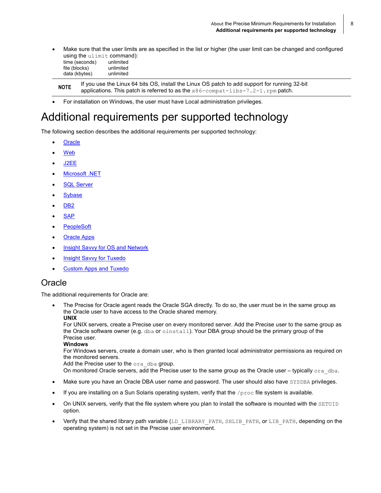• Make sure that the user limits are as specified in the list or higher (the user limit can be changed and configured using the ulimit command):

| time (seconds) | unlimited |
|----------------|-----------|
| file (blocks)  | unlimited |
| data (kbytes)  | unlimited |

**NOTE** If you use the Linux 64 bits OS, install the Linux OS patch to add support for running 32-bit applications. This patch is referred to as the  $x86$ -compat-libs-7.2-1.rpm patch.

• For installation on Windows, the user must have Local administration privileges.

## <span id="page-7-0"></span>Additional requirements per supported technology

The following section describes the additional requirements per supported technology:

- **[Oracle](#page-7-1)**
- [Web](#page-8-0)
- [J2EE](#page-11-0)
- [Microsoft .NET](#page-11-1)
- **SQL [Server](#page-11-2)**
- **[Sybase](#page-11-3)**
- [DB2](#page-13-0)
- **[SAP](#page-14-0)**
- **[PeopleSoft](#page-14-1)**
- **[Oracle Apps](#page-14-2)**
- [Insight Savvy](#page-14-3) for OS and Network
- **[Insight Savvy](#page-15-0) for Tuxedo**
- **[Custom Apps and Tuxedo](#page-15-1)**

#### <span id="page-7-1"></span>**Oracle**

The additional requirements for Oracle are:

• The Precise for Oracle agent reads the Oracle SGA directly. To do so, the user must be in the same group as the Oracle user to have access to the Oracle shared memory. **UNIX**

For UNIX servers, create a Precise user on every monitored server. Add the Precise user to the same group as the Oracle software owner (e.g. dba or oinstall). Your DBA group should be the primary group of the Precise user.

#### **Windows**

For Windows servers, create a domain user, who is then granted local administrator permissions as required on the monitored servers.

Add the Precise user to the ora dba group.

On monitored Oracle servers, add the Precise user to the same group as the Oracle user – typically  $\sigma$ ra dba.

- Make sure you have an Oracle DBA user name and password. The user should also have SYSDBA privileges.
- If you are installing on a Sun Solaris operating system, verify that the  $/proc$  file system is available.
- On UNIX servers, verify that the file system where you plan to install the software is mounted with the SETUID option.
- Verify that the shared library path variable (LD\_LIBRARY\_PATH, SHLIB\_PATH, or LIB\_PATH, depending on the operating system) is not set in the Precise user environment.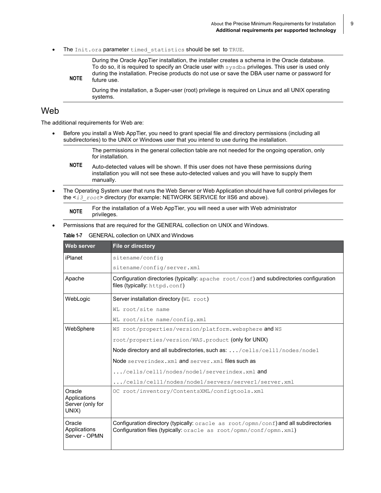The Init.ora parameter timed statistics should be set to TRUE.

**NOTE** During the Oracle AppTier installation, the installer creates a schema in the Oracle database. To do so, it is required to specify an Oracle user with sysdba privileges. This user is used only during the installation. Precise products do not use or save the DBA user name or password for future use.

During the installation, a Super-user (root) privilege is required on Linux and all UNIX operating systems.

#### <span id="page-8-0"></span>Web

The additional requirements for Web are:

• Before you install a Web AppTier, you need to grant special file and directory permissions (including all subdirectories) to the UNIX or Windows user that you intend to use during the installation.

> The permissions in the general collection table are not needed for the ongoing operation, only for installation.

- **NOTE** Auto-detected values will be shown. If this user does not have these permissions during installation you will not see these auto-detected values and you will have to supply them manually.
- The Operating System user that runs the Web Server or Web Application should have full control privileges for the <*i3\_root*> directory (for example: NETWORK SERVICE for IIS6 and above).

**NOTE** For the installation of a Web AppTier, you will need a user with Web administrator privileges.

Permissions that are required for the GENERAL collection on UNIX and Windows.

#### **Table 1-7** GENERAL collection on UNIX and Windows

| Web server                                          | File or directory                                                                                                                                                   |  |  |  |  |
|-----------------------------------------------------|---------------------------------------------------------------------------------------------------------------------------------------------------------------------|--|--|--|--|
| iPlanet                                             | sitename/confiq                                                                                                                                                     |  |  |  |  |
|                                                     | sitename/config/server.xml                                                                                                                                          |  |  |  |  |
| Apache                                              | Configuration directories (typically: $apache$ $root/conf$ ) and subdirectories configuration<br>files (typically: httpd.conf)                                      |  |  |  |  |
| WebLogic                                            | Server installation directory (WL root)                                                                                                                             |  |  |  |  |
|                                                     | WL root/site name                                                                                                                                                   |  |  |  |  |
|                                                     | WL root/site name/config.xml                                                                                                                                        |  |  |  |  |
| WebSphere                                           | WS root/properties/version/platform.websphere and WS                                                                                                                |  |  |  |  |
|                                                     | root/properties/version/WAS.product (only for UNIX)                                                                                                                 |  |  |  |  |
|                                                     | Node directory and all subdirectories, such as: /cells/cell1/nodes/node1                                                                                            |  |  |  |  |
|                                                     | Node serverindex.xml and server.xml files such as                                                                                                                   |  |  |  |  |
|                                                     | /cells/cell1/nodes/node1/serverindex.xml and                                                                                                                        |  |  |  |  |
|                                                     | /cells/cell1/nodes/node1/servers/server1/server.xml                                                                                                                 |  |  |  |  |
| Oracle<br>Applications<br>Server (only for<br>UNIX) | OC root/inventory/ContentsXML/configtools.xml                                                                                                                       |  |  |  |  |
| Oracle<br>Applications<br>Server - OPMN             | <b>Configuration directory (typically:</b> oracle as $root/opmn/conf)$ and all subdirectories<br>Configuration files (typically: oracle as root/opmn/conf/opmn.xml) |  |  |  |  |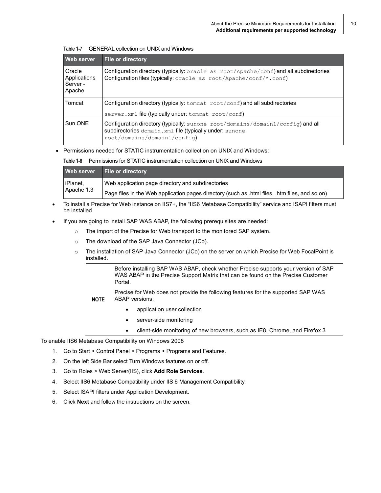| Web server                                   | <b>File or directory</b>                                                                                                                                                             |
|----------------------------------------------|--------------------------------------------------------------------------------------------------------------------------------------------------------------------------------------|
| Oracle<br>Applications<br>Server -<br>Apache | Configuration directory (typically: $\text{oracle as root}/\text{Apache}/\text{conf}$ ) and all subdirectories<br>Configuration files (typically: oracle as root/Apache/conf/*.conf) |
| Tomcat                                       | Configuration directory (typically: $tomcat$ root/conf) and all subdirectories                                                                                                       |
|                                              | server.xml file (typically under: tomcat root/conf)                                                                                                                                  |
| Sun ONE                                      | Configuration directory (typically: sunone root/domains/domain1/config) and all<br>subdirectories domain.xml file (typically under: sunone<br>root/domains/domain1/config)           |

|  |  | Table 1-7 GENERAL collection on UNIX and Windows |
|--|--|--------------------------------------------------|
|  |  |                                                  |

• Permissions needed for STATIC instrumentation collection on UNIX and Windows:

**Table 1-8** Permissions for STATIC instrumentation collection on UNIX and Windows

|            |                                                   | Web server File or directory                                                                   |
|------------|---------------------------------------------------|------------------------------------------------------------------------------------------------|
| iPlanet,   | Web application page directory and subdirectories |                                                                                                |
| Apache 1.3 |                                                   | Page files in the Web application pages directory (such as .html files, .htm files, and so on) |

- To install a Precise for Web instance on IIS7+, the "IIS6 Metabase Compatibility" service and ISAPI filters must be installed.
- If you are going to install SAP WAS ABAP, the following prerequisites are needed:
	- $\circ$  The import of the Precise for Web transport to the monitored SAP system.
	- o The download of the SAP Java Connector (JCo).
	- o The installation of SAP Java Connector (JCo) on the server on which Precise for Web FocalPoint is installed.

Before installing SAP WAS ABAP, check whether Precise supports your version of SAP WAS ABAP in the Precise Support Matrix that can be found on the Precise Customer Portal.

**NOTE** Precise for Web does not provide the following features for the supported SAP WAS ABAP versions:

- application user collection
- server-side monitoring
- client-side monitoring of new browsers, such as IE8, Chrome, and Firefox 3

To enable IIS6 Metabase Compatibility on Windows 2008

- 1. Go to Start > Control Panel > Programs > Programs and Features.
- 2. On the left Side Bar select Turn Windows features on or off.
- 3. Go to Roles > Web Server(IIS), click **Add Role Services**.
- 4. Select IIS6 Metabase Compatibility under IIS 6 Management Compatibility.
- 5. Select ISAPI filters under Application Development.
- 6. Click **Next** and follow the instructions on the screen.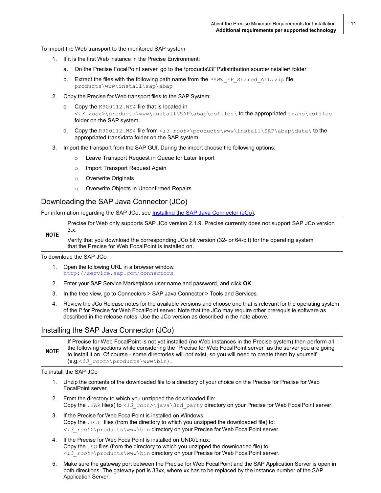11

To import the Web transport to the monitored SAP system

- 1. If it is the first Web instance in the Precise Environment:
	- a. On the Precise FocalPoint server, go to the \products\i3FP\distribution source\installer\ folder
	- b. Extract the files with the following path name from the  $PSWW$  FP  $Shared ALL.zip$  file: products\www\install\sap\abap
- 2. Copy the Precise for Web transport files to the SAP System:
	- c. Copy the K900112.WS4 file that is located in <*i3\_root*>\products\www\install\SAP\abap\cofiles\ to the appropriated trans\cofiles folder on the SAP system.
	- d. Copy the R900112.WS4 file from <*i3\_root*>\products\www\install\SAP\abap\data\ to the appropriated trans\data folder on the SAP system.
- 3. Import the transport from the SAP GUI. During the import choose the following options:
	- o Leave Transport Request in Queue for Later Import
	- o Import Transport Request Again
	- o Overwrite Originals
	- o Overwrite Objects in Unconfirmed Repairs

#### Downloading the SAP Java Connector (JCo)

For information regarding the SAP JCo, see [Installing the SAP Java Connector \(JCo\).](#page-10-0)

**NOTE** Precise for Web only supports SAP JCo version 2.1.9. Precise currently does not support SAP JCo version 3.x.

Verify that you download the corresponding JCo bit version (32- or 64-bit) for the operating system that the Precise for Web FocalPoint is installed on.

To download the SAP JCo

- 1. Open the following URL in a browser window. <http://service.sap.com/connectors>
- 2. Enter your SAP Service Marketplace user name and password, and click **OK**.
- 3. In the tree view, go to Connectors > SAP Java Connector > Tools and Services.
- 4. Review the JCo Release notes for the available versions and choose one that is relevant for the operating system of the i<sup>3</sup> for Precise for Web FocalPoint server. Note that the JCo may require other prerequisite software as described in the release notes. Use the JCo version as described in the note above.

#### <span id="page-10-0"></span>Installing the SAP Java Connector (JCo)

**NOTE** If Precise for Web FocalPoint is not yet installed (no Web instances in the Precise system) then perform all the following sections while considering the "Precise for Web FocalPoint server" as the server you are going to install it on. Of course - some directories will not exist, so you will need to create them by yourself (e.g.<*i3\_root*>\products\www\bin).

To install the SAP JCo

- 1. Unzip the contents of the downloaded file to a directory of your choice on the Precise for Precise for Web FocalPoint server.
- 2. From the directory to which you unzipped the downloaded file: Copy the .JAR file(s) to  $\langle i3r\cot\theta\rangle$  root>\java\3rd\_party directory on your Precise for Web FocalPoint server.
- 3. If the Precise for Web FocalPoint is installed on Windows: Copy the .DLL files (from the directory to which you unzipped the downloaded file) to: *<i3\_root>*\products\www\bin directory on your Precise for Web FocalPoint server.
- 4. If the Precise for Web FocalPoint is installed on UNIX/Linux: Copy the .SO files (from the directory to which you unzipped the downloaded file) to: *<i3\_root>*\products\www\bin directory on your Precise for Web FocalPoint server.
- 5. Make sure the gateway port between the Precise for Web FocalPoint and the SAP Application Server is open in both directions. The gateway port is 33xx, where xx has to be replaced by the instance number of the SAP Application Server.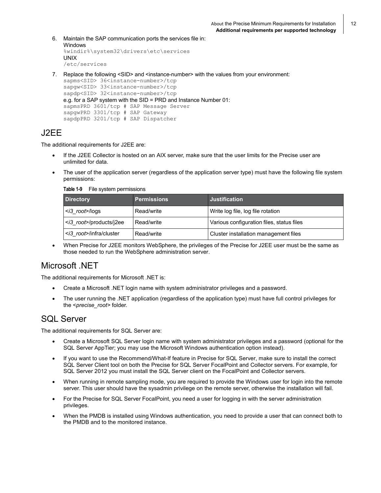12

- 6. Maintain the SAP communication ports the services file in: Windows %windir%\system32\drivers\etc\services UNIX /etc/services
- 7. Replace the following <SID> and <instance-number> with the values from your environment:

```
sapms<SID> 36<instance-number>/tcp
sapqw<SID> 33<instance-number>/tcp
sapdp<SID> 32<instance-number>/tcp
e.g. for a SAP system with the SID = PRD and Instance Number 01:
sapmsPRD 3601/tcp # SAP Message Server
sapgwPRD 3301/tcp # SAP Gateway
sapdpPRD 3201/tcp # SAP Dispatcher
```
#### <span id="page-11-0"></span>J2EE

The additional requirements for J2EE are:

- If the J2EE Collector is hosted on an AIX server, make sure that the user limits for the Precise user are unlimited for data.
- The user of the application server (regardless of the application server type) must have the following file system permissions:

**Table 1-9** File system permissions

| <b>Directory</b>                | <b>Permissions</b> | <b>Justification</b>                      |
|---------------------------------|--------------------|-------------------------------------------|
| $\langle$ i3 root>/logs         | Read/write         | Write log file, log file rotation         |
| <i3 root="">/products/j2ee</i3> | Read/write         | Various configuration files, status files |
| <i3 root="">/infra/cluster</i3> | Read/write         | Cluster installation management files     |

• When Precise for J2EE monitors WebSphere, the privileges of the Precise for J2EE user must be the same as those needed to run the WebSphere administration server.

#### <span id="page-11-1"></span>Microsoft .NET

The additional requirements for Microsoft .NET is:

- Create a Microsoft .NET login name with system administrator privileges and a password.
- The user running the .NET application (regardless of the application type) must have full control privileges for the <*precise\_root>* folder.

#### <span id="page-11-2"></span>SQL Server

The additional requirements for SQL Server are:

- Create a Microsoft SQL Server login name with system administrator privileges and a password (optional for the SQL Server AppTier; you may use the Microsoft Windows authentication option instead).
- If you want to use the Recommend/What-If feature in Precise for SQL Server, make sure to install the correct SQL Server Client tool on both the Precise for SQL Server FocalPoint and Collector servers. For example, for SQL Server 2012 you must install the SQL Server client on the FocalPoint and Collector servers.
- When running in remote sampling mode, you are required to provide the Windows user for login into the remote server. This user should have the sysadmin privilege on the remote server, otherwise the installation will fail.
- For the Precise for SQL Server FocalPoint, you need a user for logging in with the server administration privileges.
- <span id="page-11-3"></span>• When the PMDB is installed using Windows authentication, you need to provide a user that can connect both to the PMDB and to the monitored instance.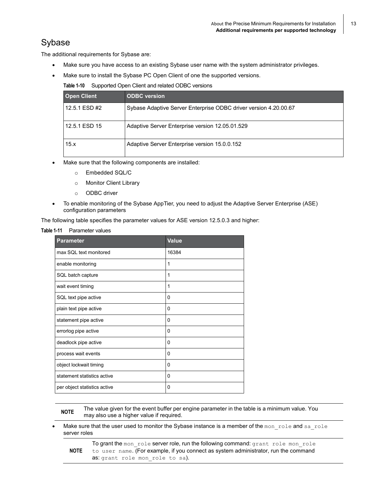#### <span id="page-12-0"></span>Sybase

The additional requirements for Sybase are:

- Make sure you have access to an existing Sybase user name with the system administrator privileges.
- Make sure to install the Sybase PC Open Client of one the supported versions.

**Table 1-10** Supported Open Client and related ODBC versions

| <b>Open Client</b> | <b>ODBC</b> version                                              |
|--------------------|------------------------------------------------------------------|
| 12.5.1 ESD #2      | Sybase Adaptive Server Enterprise ODBC driver version 4.20.00.67 |
| 12.5.1 ESD 15      | Adaptive Server Enterprise version 12.05.01.529                  |
| 15.x               | Adaptive Server Enterprise version 15.0.0.152                    |

- Make sure that the following components are installed:
	- o Embedded SQL/C
	- o Monitor Client Library
	- o ODBC driver
- To enable monitoring of the Sybase AppTier, you need to adjust the Adaptive Server Enterprise (ASE) configuration parameters

The following table specifies the parameter values for ASE version 12.5.0.3 and higher:

#### **Table 1-11** Parameter values

| <b>Parameter</b>             | <b>Value</b> |
|------------------------------|--------------|
| max SQL text monitored       | 16384        |
| enable monitoring            | 1            |
| SQL batch capture            | 1            |
| wait event timing            | 1            |
| SQL text pipe active         | 0            |
| plain text pipe active       | 0            |
| statement pipe active        | 0            |
| errorlog pipe active         | 0            |
| deadlock pipe active         | 0            |
| process wait events          | 0            |
| object lockwait timing       | 0            |
| statement statistics active  | $\Omega$     |
| per object statistics active | 0            |

**NOTE** The value given for the event buffer per engine parameter in the table is <sup>a</sup> minimum value. You may also use a higher value if required.

- Make sure that the user used to monitor the Sybase instance is a member of the mon role and sa role server roles
	- **NOTE** To grant the mon role server role, run the following command: grant role mon role to user name. (For example, if you connect as system administrator, run the command as: grant role mon role to sa).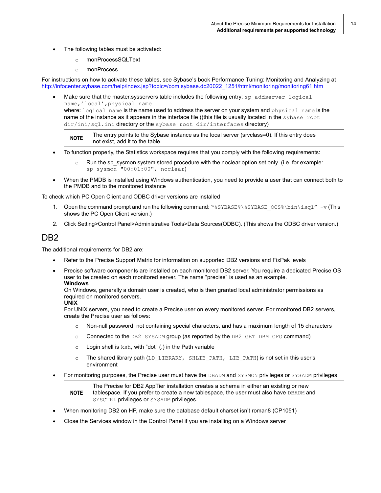- The following tables must be activated:
	- o monProcessSQLText
	- o monProcess

For instructions on how to activate these tables, see Sybase's book Performance Tuning: Monitoring and Analyzing at [http://infocenter.sybase.com/help/index.jsp?topic=/com.sybase.dc20022\\_1251/html/monitoring/monitoring61.htm](http://infocenter.sybase.com/help/index.jsp?topic=/com.sybase.dc20022_1251/html/monitoring/monitoring61.htm)

Make sure that the master.sysservers table includes the following entry: sp\_addserver logical name,'local',physical name where: logical name is the name used to address the server on your system and physical name is the name of the instance as it appears in the interface file ((this file is usually located in the sybase root

dir/ini/sql.ini directory or the sybase root dir/interfaces directory)

**NOTE** The entry points to the Sybase instance as the local server (srvclass=0). If this entry does not exist, add it to the table.

- To function properly, the Statistics workspace requires that you comply with the following requirements:
	- Run the sp\_sysmon system stored procedure with the noclear option set only. (i.e. for example: sp sysmon "00:01:00", noclear)
- When the PMDB is installed using Windows authentication, you need to provide a user that can connect both to the PMDB and to the monitored instance

To check which PC Open Client and ODBC driver versions are installed

- 1. Open the command prompt and run the following command: " $\Sigma$ SYBASE\$\\$SYBASE\_OCS\$\bin\isql" -v (This shows the PC Open Client version.)
- 2. Click Setting>Control Panel>Administrative Tools>Data Sources(ODBC). (This shows the ODBC driver version.)

#### <span id="page-13-0"></span>DB2

The additional requirements for DB2 are:

- Refer to the Precise Support Matrix for information on supported DB2 versions and FixPak levels
- Precise software components are installed on each monitored DB2 server. You require a dedicated Precise OS user to be created on each monitored server. The name "precise" is used as an example. **Windows**

On Windows, generally a domain user is created, who is then granted local administrator permissions as required on monitored servers.

#### **UNIX**

For UNIX servers, you need to create a Precise user on every monitored server. For monitored DB2 servers, create the Precise user as follows:

- o Non-null password, not containing special characters, and has a maximum length of 15 characters
- o Connected to the DB2 SYSADM group (as reported by the DB2 GET DBM CFG command)
- $\circ$  Login shell is  $ksh$ , with "dot" (.) in the Path variable
- $\circ$  The shared library path (LD\_LIBRARY, SHLIB\_PATH, LIB\_PATH) is not set in this user's environment
- For monitoring purposes, the Precise user must have the DBADM and SYSMON privileges or SYSADM privileges

#### **NOTE** The Precise for DB2 AppTier installation creates a schema in either an existing or new tablespace. If you prefer to create a new tablespace, the user must also have DBADM and SYSCTRL privileges or SYSADM privileges.

- When monitoring DB2 on HP, make sure the database default charset isn't roman8 (CP1051)
- Close the Services window in the Control Panel if you are installing on a Windows server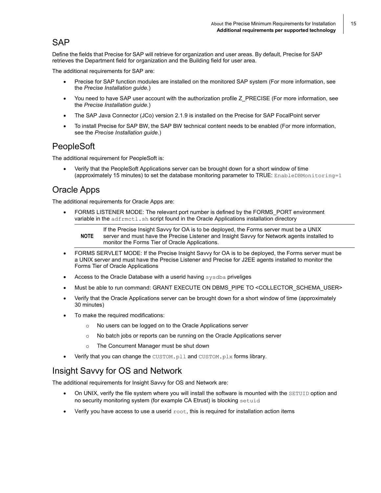15

#### <span id="page-14-0"></span>**SAP**

Define the fields that Precise for SAP will retrieve for organization and user areas. By default, Precise for SAP retrieves the Department field for organization and the Building field for user area.

The additional requirements for SAP are:

- Precise for SAP function modules are installed on the monitored SAP system (For more information, see the *Precise Installation guide.*)
- You need to have SAP user account with the authorization profile Z\_PRECISE (For more information, see the *Precise Installation guide.*)
- The SAP Java Connector (JCo) version 2.1.9 is installed on the Precise for SAP FocalPoint server
- To install Precise for SAP BW, the SAP BW technical content needs to be enabled (For more information, see the *Precise Installation guide*.)

#### <span id="page-14-1"></span>PeopleSoft

The additional requirement for PeopleSoft is:

• Verify that the PeopleSoft Applications server can be brought down for a short window of time (approximately 15 minutes) to set the database monitoring parameter to TRUE: EnableDBMonitoring=1

#### <span id="page-14-2"></span>Oracle Apps

The additional requirements for Oracle Apps are:

• FORMS LISTENER MODE: The relevant port number is defined by the FORMS\_PORT environment variable in the adfrmctl.sh script found in the Oracle Applications installation directory

**NOTE** If the Precise Insight Savvy for OA is to be deployed, the Forms server must be a UNIX server and must have the Precise Listener and Insight Savvy for Network agents installed to monitor the Forms Tier of Oracle Applications.

- FORMS SERVLET MODE: If the Precise Insight Savvy for OA is to be deployed, the Forms server must be a UNIX server and must have the Precise Listener and Precise for J2EE agents installed to monitor the Forms Tier of Oracle Applications
- Access to the Oracle Database with a userid having sysdba priveliges
- Must be able to run command: GRANT EXECUTE ON DBMS\_PIPE TO <COLLECTOR\_SCHEMA\_USER>
- Verify that the Oracle Applications server can be brought down for a short window of time (approximately 30 minutes)
- To make the required modifications:
	- o No users can be logged on to the Oracle Applications server
	- o No batch jobs or reports can be running on the Oracle Applications server
	- o The Concurrent Manager must be shut down
- Verify that you can change the CUSTOM.pll and CUSTOM.plx forms library.

#### <span id="page-14-3"></span>Insight Savvy for OS and Network

The additional requirements for Insight Savvy for OS and Network are:

- On UNIX, verify the file system where you will install the software is mounted with the SETUID option and no security monitoring system (for example CA Etrust) is blocking setuid
- Verify you have access to use a userid  $root$ , this is required for installation action items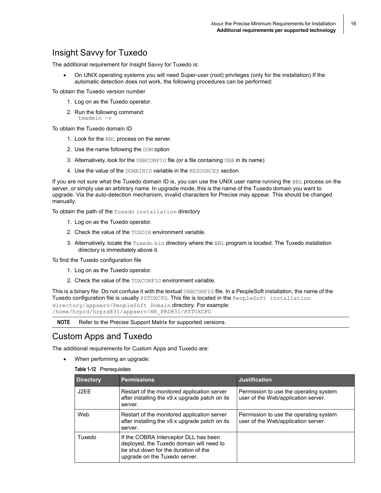#### <span id="page-15-0"></span>Insight Savvy for Tuxedo

The additional requirement for Insight Savvy for Tuxedo is:

• On UNIX operating systems you will need Super-user (root) privileges (only for the installation) If the automatic detection does not work, the following procedures can be performed:

To obtain the Tuxedo version number

- 1. Log on as the Tuxedo operator.
- 2. Run the following command: tmadmin -v

To obtain the Tuxedo domain ID

- 1. Look for the BBL process on the server.
- 2. Use the name following the DOM option
- 3. Alternatively, look for the UBBCONFIG file (or a file containing UBB in its name)
- 4. Use the value of the DOMAINID variable in the RESOURCES section.

If you are not sure what the Tuxedo domain ID is, you can use the UNIX user name running the BBL process on the server, or simply use an arbitrary name. In upgrade mode, this is the name of the Tuxedo domain you want to upgrade. Via the auto-detection mechanism, invalid characters for Precise may appear. This should be changed manually.

To obtain the path of the Tuxedo installation directory

- 1. Log on as the Tuxedo operator.
- 2. Check the value of the TUXDIR environment variable.
- 3. Alternatively, locate the Tuxedo bin directory where the BBL program is located. The Tuxedo installation directory is immediately above it.

To find the Tuxedo configuration file

- 1. Log on as the Tuxedo operator.
- 2. Check the value of the TUXCONFIG environment variable.

This is a binary file. Do not confuse it with the textual UBBCONFIG file. In a PeopleSoft installation, the name of the Tuxedo configuration file is usually PSTUXCFG. This file is located in the PeopleSoft installation directory/appserv/PeopleSoft Domain directory. For example: /home/hrprd/hrprd831/appserv/HR\_PRD831/PSTUXCFG

**NOTE** Refer to the Precise Support Matrix for supported versions.

#### <span id="page-15-1"></span>Custom Apps and Tuxedo

The additional requirements for Custom Apps and Tuxedo are:

- When performing an upgrade:
	- **Table 1-12** Prerequisites

| <b>Directory</b> | <b>Permissions</b>                                                                                                                                         | <b>Justification</b>                                                          |
|------------------|------------------------------------------------------------------------------------------------------------------------------------------------------------|-------------------------------------------------------------------------------|
| J2EE             | Restart of the monitored application server<br>after installing the v9.x upgrade patch on its<br>server.                                                   | Permission to use the operating system<br>user of the Web/application server. |
| Web              | Restart of the monitored application server<br>after installing the v9.x upgrade patch on its<br>server.                                                   | Permission to use the operating system<br>user of the Web/application server. |
| Tuxedo           | If the COBRA Interceptor DLL has been<br>deployed, the Tuxedo domain will need to<br>be shut down for the duration of the<br>upgrade on the Tuxedo server. |                                                                               |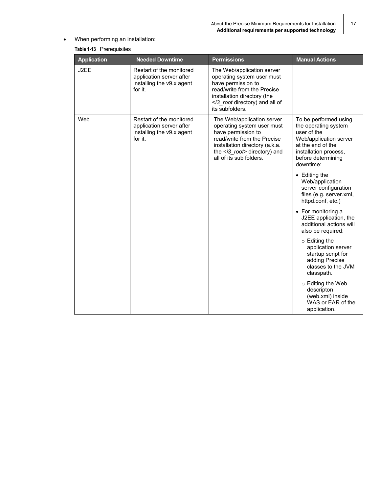• When performing an installation:

| <b>Application</b> | <b>Needed Downtime</b>                                                                       | <b>Permissions</b>                                                                                                                                                                                                      | <b>Manual Actions</b>                                                                                                                                                   |
|--------------------|----------------------------------------------------------------------------------------------|-------------------------------------------------------------------------------------------------------------------------------------------------------------------------------------------------------------------------|-------------------------------------------------------------------------------------------------------------------------------------------------------------------------|
| J2EE               | Restart of the monitored<br>application server after<br>installing the v9.x agent<br>for it. | The Web/application server<br>operating system user must<br>have permission to<br>read/write from the Precise<br>installation directory (the<br><i3_root all="" and="" directory)="" of<br="">its subfolders.</i3_root> |                                                                                                                                                                         |
| Web                | Restart of the monitored<br>application server after<br>installing the v9.x agent<br>for it. | The Web/application server<br>operating system user must<br>have permission to<br>read/write from the Precise<br>installation directory (a.k.a.<br>the <i3_root> directory) and<br/>all of its sub folders.</i3_root>   | To be performed using<br>the operating system<br>user of the<br>Web/application server<br>at the end of the<br>installation process,<br>before determining<br>downtime: |
|                    |                                                                                              |                                                                                                                                                                                                                         | • Editing the<br>Web/application<br>server configuration<br>files (e.g. server.xml,<br>httpd.conf, etc.)                                                                |
|                    |                                                                                              |                                                                                                                                                                                                                         | • For monitoring a<br>J2EE application, the<br>additional actions will<br>also be required:                                                                             |
|                    |                                                                                              |                                                                                                                                                                                                                         | $\circ$ Editing the<br>application server<br>startup script for<br>adding Precise<br>classes to the JVM<br>classpath.                                                   |
|                    |                                                                                              |                                                                                                                                                                                                                         | $\circ$ Editing the Web<br>descripton<br>(web.xml) inside<br>WAS or EAR of the<br>application.                                                                          |

#### **Table 1-13** Prerequisites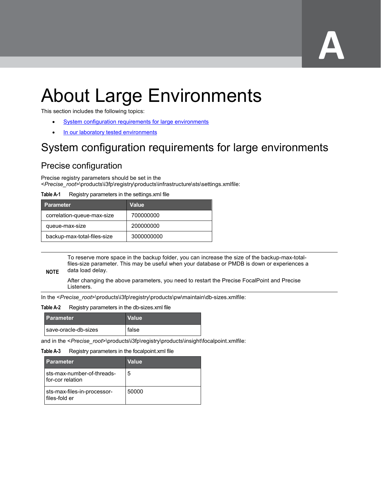# **A**

# <span id="page-17-0"></span>About Large Environments

This section includes the following topics:

- [System configuration requirements for](#page-17-1) large environments
- In our [laboratory tested environments](#page-23-0)

# <span id="page-17-1"></span>System configuration requirements for large environments

#### <span id="page-17-2"></span>Precise configuration

Precise registry parameters should be set in the <*Precise\_root*>\products\i3fp\registry\products\infrastructure\sts\settings.xmlfile:

#### **Table A-1** Registry parameters in the settings.xml file

| <b>Parameter</b>            | Value      |
|-----------------------------|------------|
| correlation-queue-max-size  | 700000000  |
| queue-max-size              | 200000000  |
| backup-max-total-files-size | 3000000000 |

To reserve more space in the backup folder, you can increase the size of the backup-max-totalfiles-size parameter. This may be useful when your database or PMDB is down or experiences a data load delay.

#### **NOTE**

After changing the above parameters, you need to restart the Precise FocalPoint and Precise Listeners.

In the <*Precise\_root*>\products\i3fp\registry\products\pw\maintain\db-sizes.xmlfile:

#### **Table A-2** Registry parameters in the db-sizes.xml file

| <b>Parameter</b>       | <b>Value</b> |
|------------------------|--------------|
| l save-oracle-db-sizes | false        |

and in the <*Precise\_root*>\products\i3fp\registry\products\insight\focalpoint.xmlfile:

#### **Table A-3** Registry parameters in the focalpoint.xml file

| <b>Parameter</b>                               | <b>Value</b> |
|------------------------------------------------|--------------|
| sts-max-number-of-threads-<br>for-cor relation | 5            |
| sts-max-files-in-processor-<br>files-fold er   | 50000        |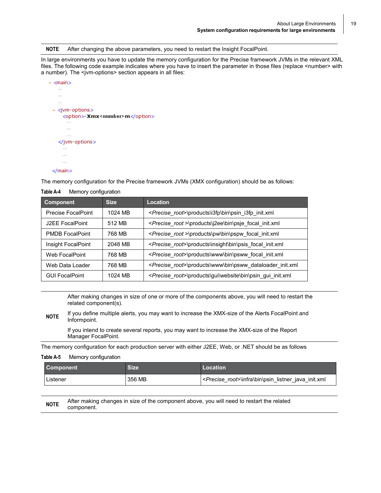**NOTE** After changing the above parameters, you need to restart the Insight FocalPoint.

In large environments you have to update the memory configuration for the Precise framework JVMs in the relevant XML files. The following code example indicates where you have to insert the parameter in those files (replace <number> with a number). The <jvm-options> section appears in all files:



#### $<$ /main $>$

The memory configuration for the Precise framework JVMs (XMX configuration) should be as follows:

| Table A-4<br>Memory configuration |             |                                                                          |
|-----------------------------------|-------------|--------------------------------------------------------------------------|
| Component                         | <b>Size</b> | Location                                                                 |
| Precise FocalPoint                | 1024 MB     | < <i>Precise root</i> >\products\i3fp\bin\psin i3fp init.xml             |
| J2EE FocalPoint                   | 512 MB      | <precise root="">\products\j2ee\bin\psje focal init.xml</precise>        |
| <b>PMDB FocalPoint</b>            | 768 MB      | < <i>Precise root</i> >\products\pw\bin\pspw focal init.xml              |
| Insight FocalPoint                | 2048 MB     | <precise root="">\products\insight\bin\psis focal init.xml</precise>     |
| Web FocalPoint                    | 768 MB      | <precise_root>\products\www\bin\psww focal init.xml</precise_root>       |
| Web Data Loader                   | 768 MB      | <precise root="">\products\www\bin\psww dataloader init.xml</precise>    |
| <b>GUI FocalPoint</b>             | 1024 MB     | <precise_root>\products\gui\website\bin\psin gui init.xml</precise_root> |

#### **Table A-4** Memory configuration

After making changes in size of one or more of the components above, you will need to restart the related component(s).

**NOTE** If you define multiple alerts, you may want to increase the XMX-size of the Alerts FocalPoint and Informpoint.

If you intend to create several reports, you may want to increase the XMX-size of the Report Manager FocalPoint.

The memory configuration for each production server with either J2EE, Web, or .NET should be as follows

#### **Table A-5** Memory configuration

| <b>Component</b> | Size   | Location                                                     |
|------------------|--------|--------------------------------------------------------------|
| ∟istener         | 356 MB | < <i>Precise root</i> >\infra\bin\psin listner java init.xml |

| <b>NOTE</b> | After making changes in size of the component above, you will need to restart the related |
|-------------|-------------------------------------------------------------------------------------------|
|             | component.                                                                                |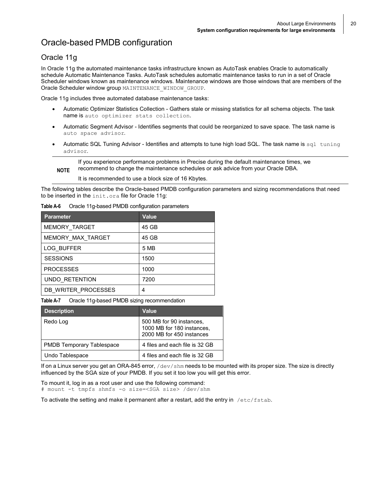20

#### <span id="page-19-0"></span>Oracle-based PMDB configuration

#### Oracle 11g

In Oracle 11g the automated maintenance tasks infrastructure known as AutoTask enables Oracle to automatically schedule Automatic Maintenance Tasks. AutoTask schedules automatic maintenance tasks to run in a set of Oracle Scheduler windows known as maintenance windows. Maintenance windows are those windows that are members of the Oracle Scheduler window group MAINTENANCE\_WINDOW\_GROUP.

Oracle 11g includes three automated database maintenance tasks:

- Automatic Optimizer Statistics Collection Gathers stale or missing statistics for all schema objects. The task name is auto optimizer stats collection.
- Automatic Segment Advisor Identifies segments that could be reorganized to save space. The task name is auto space advisor.
- Automatic SQL Tuning Advisor Identifies and attempts to tune high load SQL. The task name is  $sq1$  tuning advisor.

**NOTE** If you experience performance problems in Precise during the default maintenance times, we recommend to change the maintenance schedules or ask advice from your Oracle DBA.

It is recommended to use a block size of 16 Kbytes.

The following tables describe the Oracle-based PMDB configuration parameters and sizing recommendations that need to be inserted in the init.ora file for Oracle 11g:

| <b>Parameter</b>      | Value |
|-----------------------|-------|
| MEMORY TARGET         | 45 GB |
| MEMORY MAX TARGET     | 45 GB |
| <b>LOG BUFFER</b>     | 5 MB  |
| <b>SESSIONS</b>       | 1500  |
| <b>PROCESSES</b>      | 1000  |
| <b>UNDO RETENTION</b> | 7200  |
| DB WRITER PROCESSES   | 4     |

**Table A-6** Oracle 11g-based PMDB configuration parameters

**Table A-7** Oracle 11g-based PMDB sizing recommendation

| <b>Description</b>               | Value                                                                               |
|----------------------------------|-------------------------------------------------------------------------------------|
| Redo Log                         | 500 MB for 90 instances,<br>1000 MB for 180 instances,<br>2000 MB for 450 instances |
| <b>PMDB Temporary Tablespace</b> | 4 files and each file is 32 GB                                                      |
| Undo Tablespace                  | 4 files and each file is 32 GB                                                      |

If on a Linux server you get an ORA-845 error, /dev/shm needs to be mounted with its proper size. The size is directly influenced by the SGA size of your PMDB. If you set it too low you will get this error.

To mount it, log in as a root user and use the following command:

# mount -t tmpfs shmfs -o size=<SGA size> /dev/shm

To activate the setting and make it permanent after a restart, add the entry in  $/etc/fstab$ .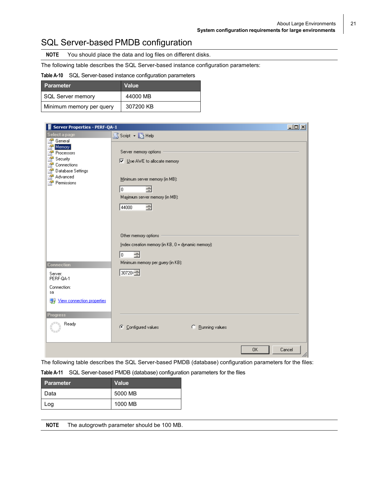#### <span id="page-20-0"></span>SQL Server-based PMDB configuration

**NOTE** You should place the data and log files on different disks.

The following table describes the SQL Server-based instance configuration parameters:

#### **Table A-10** SQL Server-based instance configuration parameters

| <b>Parameter</b>         | <b>Value</b> |
|--------------------------|--------------|
| SQL Server memory        | 44000 MB     |
| Minimum memory per query | 307200 KB    |

| <b>Server Properties - PERF-QA-1</b>                                                                       |                                                                                                                                                     | $\Box$ D $\times$ |
|------------------------------------------------------------------------------------------------------------|-----------------------------------------------------------------------------------------------------------------------------------------------------|-------------------|
| Select a page                                                                                              | S Script • A Help                                                                                                                                   |                   |
| General<br>Memory<br>Processors<br>Security<br>Connections<br>Database Settings<br>Advanced<br>Permissions | Server memory options<br>□ Use AWE to allocate memory<br>Minimum server memory (in MB):<br>골<br>lo.<br>Maximum server memory (in MB):<br>글<br>44000 |                   |
| Connection<br>Server:<br>PERF-0A-1<br>Connection:<br>sa                                                    | Other memory options<br>Index creation memory (in KB, 0 = dynamic memory):<br>글<br>o.<br>Minimum memory per guery (in KB):<br>30720 子               |                   |
| View connection properties<br>團果<br><b>Progress</b><br>Ready                                               | Configured values<br><sup>C</sup> Bunning values<br>Œ                                                                                               |                   |
|                                                                                                            | 0K                                                                                                                                                  | Cancel            |

The following table describes the SQL Server-based PMDB (database) configuration parameters for the files:

**Table A-11** SQL Server-based PMDB (database) configuration parameters for the files

| <b>Parameter</b> | Value   |
|------------------|---------|
| Data             | 5000 MB |
| Log              | 1000 MB |

| <b>NOTE</b> |  | The autogrowth parameter should be 100 MB. |  |
|-------------|--|--------------------------------------------|--|
|-------------|--|--------------------------------------------|--|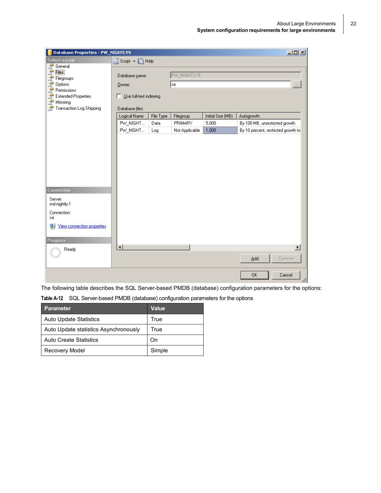| $\Box$ D $\times$<br><b>Database Properties - PW_NIGHTLY9</b> |                             |           |                |                   |                                     |
|---------------------------------------------------------------|-----------------------------|-----------|----------------|-------------------|-------------------------------------|
| Select a page                                                 | SS Script • A Help          |           |                |                   |                                     |
| 2<br>General                                                  |                             |           |                |                   |                                     |
| Ż<br>Files<br>A<br>Filegroups                                 | Database name:              |           | PW_NIGHTLY9    |                   |                                     |
| ł<br>Options                                                  | $Q$ wner:                   |           | sa             |                   | $\cdots$                            |
| ð<br>Permissions                                              |                             |           |                |                   |                                     |
| a.<br><b>Extended Properties</b><br>A<br>Mirroring            | Use full-text indexing<br>п |           |                |                   |                                     |
| Transaction Log Shipping<br><b>A</b>                          | Database files:             |           |                |                   |                                     |
|                                                               | Logical Name                | File Type | Filegroup      | Initial Size (MB) | Autogrowth                          |
|                                                               | PW NIGHT                    | Data      | PRIMARY        | 5,000             | By 100 MB, unrestricted growth      |
|                                                               | PW_NIGHT                    | Log       | Not Applicable | 1,000             | By 10 percent, restricted growth to |
|                                                               |                             |           |                |                   |                                     |
|                                                               |                             |           |                |                   |                                     |
|                                                               |                             |           |                |                   |                                     |
|                                                               |                             |           |                |                   |                                     |
|                                                               |                             |           |                |                   |                                     |
|                                                               |                             |           |                |                   |                                     |
|                                                               |                             |           |                |                   |                                     |
| Connection                                                    |                             |           |                |                   |                                     |
| Server:<br>md-nightly-1                                       |                             |           |                |                   |                                     |
| Connection:<br>sa                                             |                             |           |                |                   |                                     |
| View connection properties<br>團果                              |                             |           |                |                   |                                     |
| <b>Progress</b>                                               |                             |           |                |                   |                                     |
| Ready                                                         | $\left  \cdot \right $      |           |                |                   | $\blacktriangleright$               |
|                                                               |                             |           |                |                   | Bemove<br>Add                       |
|                                                               |                             |           |                |                   | 0K<br>Cancel<br>M                   |

The following table describes the SQL Server-based PMDB (database) configuration parameters for the options:

**Table A-12** SQL Server-based PMDB (database) configuration parameters for the options

| <b>Parameter</b>                      | <b>Value</b> |
|---------------------------------------|--------------|
| <b>Auto Update Statistics</b>         | True         |
| Auto Update statistics Asynchronously | True         |
| <b>Auto Create Statistics</b>         | On           |
| Recovery Model                        | Simple       |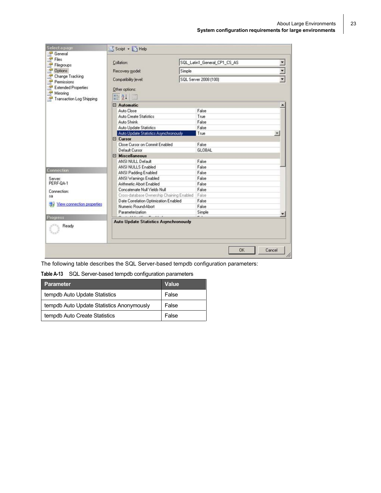| <b>Select a page</b><br>General                              | Script - Help                                                                                                                                                                                                                     |                              |                       |              |  |  |
|--------------------------------------------------------------|-----------------------------------------------------------------------------------------------------------------------------------------------------------------------------------------------------------------------------------|------------------------------|-----------------------|--------------|--|--|
| Files<br>Filegroups                                          | Collation:                                                                                                                                                                                                                        | SQL Latin1 General CP1 CS AS |                       |              |  |  |
| <b>Options</b>                                               | Recovery model:                                                                                                                                                                                                                   | Simple                       |                       |              |  |  |
| Change Tracking<br>Permissions<br><b>Extended Properties</b> | Compatibility level:<br>Other options:                                                                                                                                                                                            |                              | SQL Server 2008 (100) |              |  |  |
| Mirroring<br><b>A</b><br><b>Transaction Log Shipping</b>     | 3121<br>图                                                                                                                                                                                                                         |                              |                       |              |  |  |
|                                                              | □ Automatic                                                                                                                                                                                                                       |                              |                       |              |  |  |
|                                                              | Auto Close                                                                                                                                                                                                                        |                              | False                 |              |  |  |
|                                                              | <b>Auto Create Statistics</b>                                                                                                                                                                                                     |                              | True                  |              |  |  |
|                                                              | Auto Shrink                                                                                                                                                                                                                       |                              | False                 |              |  |  |
|                                                              | <b>Auto Update Statistics</b>                                                                                                                                                                                                     |                              | False                 |              |  |  |
|                                                              | Auto Update Statistics Asynchronously                                                                                                                                                                                             |                              | True<br>۰             |              |  |  |
|                                                              | □ Cursor                                                                                                                                                                                                                          |                              |                       |              |  |  |
|                                                              | Close Cursor on Commit Enabled                                                                                                                                                                                                    |                              | False                 |              |  |  |
|                                                              | Default Cursor                                                                                                                                                                                                                    |                              | <b>GLOBAL</b>         |              |  |  |
|                                                              | $\boxminus$ Miscellaneous                                                                                                                                                                                                         |                              |                       |              |  |  |
|                                                              | ANSI NULL Default                                                                                                                                                                                                                 |                              | False                 |              |  |  |
|                                                              | ANSI NULLS Enabled                                                                                                                                                                                                                |                              | False                 |              |  |  |
| <b>Connection</b>                                            | ANSI Padding Enabled                                                                                                                                                                                                              |                              | False                 |              |  |  |
| Server:                                                      | ANSI Warnings Enabled                                                                                                                                                                                                             |                              | False                 |              |  |  |
| PERF-QA-1                                                    | Arithmetic Abort Enabled                                                                                                                                                                                                          |                              | False                 |              |  |  |
| Connection:                                                  | Concatenate Null Yields Null                                                                                                                                                                                                      |                              | False<br>False        |              |  |  |
| \$ā                                                          | Cross-database Ownership Chaining Enabled                                                                                                                                                                                         |                              |                       |              |  |  |
|                                                              | Date Correlation Optimization Enabled                                                                                                                                                                                             |                              | False                 |              |  |  |
| View connection properties                                   | Numeric Round-Abort                                                                                                                                                                                                               |                              | False                 |              |  |  |
|                                                              | Parameterization                                                                                                                                                                                                                  |                              | Simple                |              |  |  |
| Progress                                                     | $\sim$ 13.10 and $\sim$ 14.10 and 14.10 and 14.10 and 14.10 and 14.10 and 14.10 and 14.10 and 14.10 and 14.10 and 14.10 and 14.10 and 14.10 and 14.10 and 14.10 and 14.10 and 14.10 and 14.10 and 14.10 and 14.10 and 14.10 and 1 |                              | $-1$                  |              |  |  |
| Ready                                                        | <b>Auto Update Statistics Asynchronously</b>                                                                                                                                                                                      |                              |                       |              |  |  |
|                                                              |                                                                                                                                                                                                                                   |                              | <b>DK</b>             | Cancel<br>lh |  |  |

The following table describes the SQL Server-based tempdb configuration parameters:

**Table A-13** SQL Server-based tempdb configuration parameters

| <b>Parameter</b>                          | <b>Value</b> |
|-------------------------------------------|--------------|
| tempdb Auto Update Statistics             | False        |
| tempdb Auto Update Statistics Anonymously | False        |
| tempdb Auto Create Statistics             | False        |